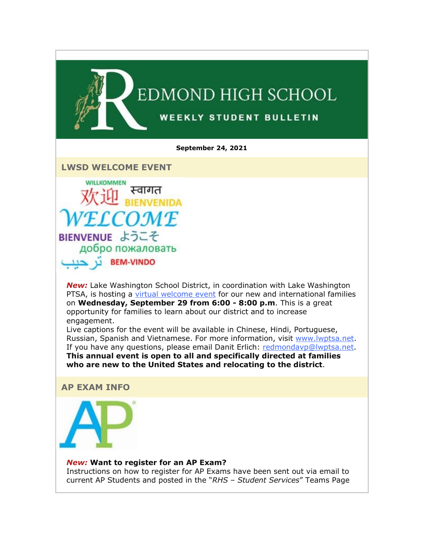

**LWSD WELCOME EVENT**

**WILLKOMMEN** स्वागत OMF BIENVENUE ようこそ добро пожаловать **BEM-VINDO** 

*New:* Lake Washington School District, in coordination with Lake Washington PTSA, is hosting a [virtual welcome event](https://nam02.safelinks.protection.outlook.com/?url=http%3A%2F%2Flink.email.dynect.net%2Flink.php%3FDynEngagement%3Dtrue%26H%3DfaG4YsHB1kOcXrql%252FjAZAv8UiQ%252B6%252FUEFi8b26uvkPKGDNP9eP128sv04e4byGRIA0dWEU5Wk0ib3Da8yryH%252F0O9YfuOAsKworGH5uZCz1VtCHNZe7D7Mmg%253D%253D%26G%3D0%26R%3Dhttps%253A%252F%252FHIYUGYZTANA.hatchbuck.com%252FTrackLinkClick%253FID2%253DFPJtysZueZon1pTASkGZ84LCSnaUTVogkMrEGmzkjx0Z4eeH5320NOivlQ82_-uD0%26I%3D20210924222127.00000005daf4%2540mail6-50-ussnn1%26X%3DMHwxMjY0OTIyOjIyMTgwNDk0Nzk7MXwxMjY0OTIzOjE3NzU0NTQ3NTs%253D%26V%3D3%26S%3DtoerdwC1zMnD1jDEkzAjs7fzbU8IdZHbTGDTRn-my4U&data=04%7C01%7Cmwood%40lwsd.org%7C1d9e60d818014719650c08d97fa9aa9d%7C1fd4673fdf9646218638a1d88c4c85d7%7C0%7C0%7C637681188963520967%7CUnknown%7CTWFpbGZsb3d8eyJWIjoiMC4wLjAwMDAiLCJQIjoiV2luMzIiLCJBTiI6Ik1haWwiLCJXVCI6Mn0%3D%7C1000&sdata=ztE9AClGvSBbvzyBOy5hWHQSpFDU12RuZvCSwobMGX0%3D&reserved=0) for our new and international families on **Wednesday, September 29 from 6:00 - 8:00 p.m**. This is a great opportunity for families to learn about our district and to increase engagement.

Live captions for the event will be available in Chinese, Hindi, Portuguese, Russian, Spanish and Vietnamese. For more information, visit [www.lwptsa.net.](https://nam02.safelinks.protection.outlook.com/?url=http%3A%2F%2Flink.email.dynect.net%2Flink.php%3FDynEngagement%3Dtrue%26H%3DfaG4YsHB1kOcXrql%252FjAZAv8UiQ%252B6%252FUEFi8b26uvkPKGDNP9eP128sv04e4byGRIA0dWEU5Wk0ib3Da8yryH%252F0O9YfuOAsKworGH5uZCz1VtCHNZe7D7Mmg%253D%253D%26G%3D0%26R%3Dhttps%253A%252F%252FHIYUGYZTANA.hatchbuck.com%252FTrackLinkClick%253FID2%253DqzmysU3J7hKZNqporOdMy8UpT7GD338XUwjK1mAROLBm38b2zjINQlZPvDPZ4Ud70%26I%3D20210924222127.00000005daf4%2540mail6-50-ussnn1%26X%3DMHwxMjY0OTIyOjIyMTgwNDk0Nzk7MXwxMjY0OTIzOjE3NzU0NTQ3NTs%253D%26V%3D3%26S%3Dj-w5Ku8r3Yu3cELjdsWycBMoeylYZ9KnVh6U-gQhIpU&data=04%7C01%7Cmwood%40lwsd.org%7C1d9e60d818014719650c08d97fa9aa9d%7C1fd4673fdf9646218638a1d88c4c85d7%7C0%7C0%7C637681188963530959%7CUnknown%7CTWFpbGZsb3d8eyJWIjoiMC4wLjAwMDAiLCJQIjoiV2luMzIiLCJBTiI6Ik1haWwiLCJXVCI6Mn0%3D%7C1000&sdata=WMljOD%2B5ik3p7YETzo486pBA%2FOSZYRvXORKaWMcLFd0%3D&reserved=0) If you have any questions, please email Danit Erlich: [redmondavp@lwptsa.net.](mailto:redmondavp@lwptsa.net) **This annual event is open to all and specifically directed at families who are new to the United States and relocating to the district**.

**AP EXAM INFO**

#### *New:* **Want to register for an AP Exam?**

Instructions on how to register for AP Exams have been sent out via email to current AP Students and posted in the "*RHS – Student Services*" Teams Page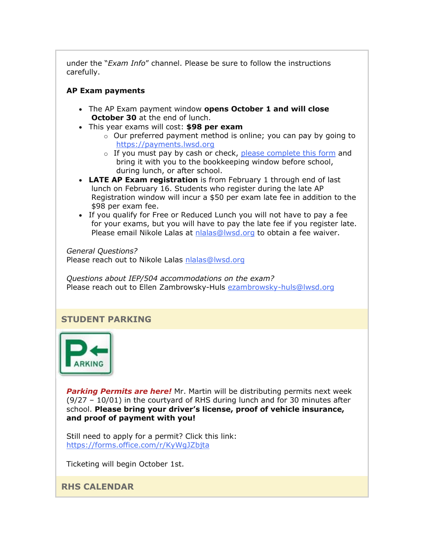under the "*Exam Info*" channel. Please be sure to follow the instructions carefully.

## **AP Exam payments**

- The AP Exam payment window **opens October 1 and will close October 30** at the end of lunch.
- This year exams will cost: **\$98 per exam**
	- $\circ$  Our preferred payment method is online; you can pay by going to [https://payments.lwsd.org](https://nam02.safelinks.protection.outlook.com/?url=http%3A%2F%2Flink.email.dynect.net%2Flink.php%3FDynEngagement%3Dtrue%26H%3DfaG4YsHB1kOcXrql%252FjAZAv8UiQ%252B6%252FUEFi8b26uvkPKGDNP9eP128sv04e4byGRIA0dWEU5Wk0ib3Da8yryH%252F0O9YfuOAsKworGH5uZCz1VtCHNZe7D7Mmg%253D%253D%26G%3D0%26R%3Dhttps%253A%252F%252FHIYUGYZTANA.hatchbuck.com%252FTrackLinkClick%253FID2%253DMcywV81l2htnX4HxD1Du1KIUGEMe9wHp62YEAoHsWiXMM9Cc1-qovvPCbtfgOtGb0%26I%3D20210924222127.00000005daf4%2540mail6-50-ussnn1%26X%3DMHwxMjY0OTIyOjIyMTgwNDk0Nzk7MXwxMjY0OTIzOjE3NzU0NTQ3NTs%253D%26V%3D3%26S%3DcDQZZp6y1oUk3P4MteMhARMEmsvcu79i-ejofbsuIzU&data=04%7C01%7Cmwood%40lwsd.org%7C1d9e60d818014719650c08d97fa9aa9d%7C1fd4673fdf9646218638a1d88c4c85d7%7C0%7C0%7C637681188963530959%7CUnknown%7CTWFpbGZsb3d8eyJWIjoiMC4wLjAwMDAiLCJQIjoiV2luMzIiLCJBTiI6Ik1haWwiLCJXVCI6Mn0%3D%7C1000&sdata=DrleLkS6PcUwP511lCK4LSCsjh9eC9dICBdYDoJFnpQ%3D&reserved=0)
	- $\circ$  If you must pay by cash or check, [please complete this form](https://nam02.safelinks.protection.outlook.com/?url=http%3A%2F%2Flink.email.dynect.net%2Flink.php%3FDynEngagement%3Dtrue%26H%3DfaG4YsHB1kOcXrql%252FjAZAv8UiQ%252B6%252FUEFi8b26uvkPKGDNP9eP128sv04e4byGRIA0dWEU5Wk0ib3Da8yryH%252F0O9YfuOAsKworGH5uZCz1VtCHNZe7D7Mmg%253D%253D%26G%3D0%26R%3Dhttps%253A%252F%252FHIYUGYZTANA.hatchbuck.com%252FTrackLinkClick%253FID2%253DhvOROjFHsOpFNRzttFOXTyV5maqpXebZsbeNziNxike2-0XOPYvrr1azmVNqErWo0%26I%3D20210924222127.00000005daf4%2540mail6-50-ussnn1%26X%3DMHwxMjY0OTIyOjIyMTgwNDk0Nzk7MXwxMjY0OTIzOjE3NzU0NTQ3NTs%253D%26V%3D3%26S%3DpK0qhJLIXkmUJjcS9m0E6w-oZMKqI4h4Ug3L9ivJpHg&data=04%7C01%7Cmwood%40lwsd.org%7C1d9e60d818014719650c08d97fa9aa9d%7C1fd4673fdf9646218638a1d88c4c85d7%7C0%7C0%7C637681188963540955%7CUnknown%7CTWFpbGZsb3d8eyJWIjoiMC4wLjAwMDAiLCJQIjoiV2luMzIiLCJBTiI6Ik1haWwiLCJXVCI6Mn0%3D%7C1000&sdata=tVmYakrN6i6v5C8tzIWll7Zx9BPXg8NuuFdoPPZHmrk%3D&reserved=0) and bring it with you to the bookkeeping window before school, during lunch, or after school.
- **LATE AP Exam registration** is from February 1 through end of last lunch on February 16. Students who register during the late AP Registration window will incur a \$50 per exam late fee in addition to the \$98 per exam fee.
- If you qualify for Free or Reduced Lunch you will not have to pay a fee for your exams, but you will have to pay the late fee if you register late. Please email Nikole Lalas at [nlalas@lwsd.org](mailto:nlalas@lwsd.org) to obtain a fee waiver.

*General Questions?*  Please reach out to Nikole Lalas [nlalas@lwsd.org](mailto:nlalas@lwsd.org)

*Questions about IEP/504 accommodations on the exam?*  Please reach out to Ellen Zambrowsky-Huls [ezambrowsky-huls@lwsd.org](mailto:ezambrowsky-huls@lwsd.org)

## **STUDENT PARKING**



*Parking Permits are here!* Mr. Martin will be distributing permits next week (9/27 – 10/01) in the courtyard of RHS during lunch and for 30 minutes after school. **Please bring your driver's license, proof of vehicle insurance, and proof of payment with you!** 

Still need to apply for a permit? Click this link: [https://forms.office.com/r/KyWgJZbjta](https://nam02.safelinks.protection.outlook.com/?url=http%3A%2F%2Flink.email.dynect.net%2Flink.php%3FDynEngagement%3Dtrue%26H%3DfaG4YsHB1kOcXrql%252FjAZAv8UiQ%252B6%252FUEFi8b26uvkPKGDNP9eP128sv04e4byGRIA0dWEU5Wk0ib3Da8yryH%252F0O9YfuOAsKworGH5uZCz1VtCHNZe7D7Mmg%253D%253D%26G%3D0%26R%3Dhttps%253A%252F%252FHIYUGYZTANA.hatchbuck.com%252FTrackLinkClick%253FID2%253Dxx4yZ1PUtEdhA6VL9nVHNXRDsUuOtHjvPiupJ54XR2Y54hMPR3l42G9YpQKVuN1s0%26I%3D20210924222127.00000005daf4%2540mail6-50-ussnn1%26X%3DMHwxMjY0OTIyOjIyMTgwNDk0Nzk7MXwxMjY0OTIzOjE3NzU0NTQ3NTs%253D%26V%3D3%26S%3D_lBRfZmHCGOItYvtR-hbMnaZ5E8wuEw691buTqT0OTM&data=04%7C01%7Cmwood%40lwsd.org%7C1d9e60d818014719650c08d97fa9aa9d%7C1fd4673fdf9646218638a1d88c4c85d7%7C0%7C0%7C637681188963540955%7CUnknown%7CTWFpbGZsb3d8eyJWIjoiMC4wLjAwMDAiLCJQIjoiV2luMzIiLCJBTiI6Ik1haWwiLCJXVCI6Mn0%3D%7C1000&sdata=jDS%2FAxu%2FBhw%2FeHxINDPc020imffjM5qM9mHo0SNJbNY%3D&reserved=0)

Ticketing will begin October 1st.

**RHS CALENDAR**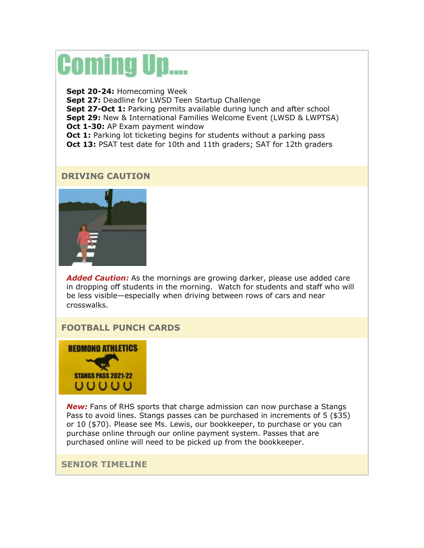# **Coming Up....**

**Sept 20-24:** Homecoming Week **Sept 27:** Deadline for LWSD Teen Startup Challenge **Sept 27-Oct 1:** Parking permits available during lunch and after school **Sept 29:** New & International Families Welcome Event (LWSD & LWPTSA) **Oct 1-30:** AP Exam payment window **Oct 1:** Parking lot ticketing begins for students without a parking pass **Oct 13:** PSAT test date for 10th and 11th graders; SAT for 12th graders

## **DRIVING CAUTION**



*Added Caution:* As the mornings are growing darker, please use added care in dropping off students in the morning. Watch for students and staff who will be less visible—especially when driving between rows of cars and near crosswalks.

## **FOOTBALL PUNCH CARDS**



*New:* Fans of RHS sports that charge admission can now purchase a Stangs Pass to avoid lines. Stangs passes can be purchased in increments of 5 (\$35) or 10 (\$70). Please see Ms. Lewis, our bookkeeper, to purchase or you can purchase online through our online payment system. Passes that are purchased online will need to be picked up from the bookkeeper.

#### **SENIOR TIMELINE**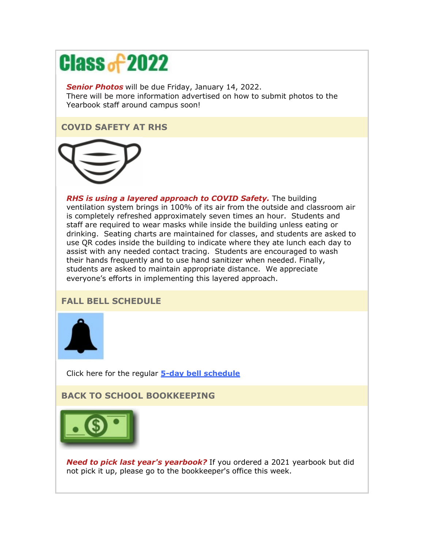## **Class of 2022**

*Senior Photos* will be due Friday, January 14, 2022. There will be more information advertised on how to submit photos to the Yearbook staff around campus soon!

## **COVID SAFETY AT RHS**



*RHS is using a layered approach to COVID Safety.* The building ventilation system brings in 100% of its air from the outside and classroom air is completely refreshed approximately seven times an hour. Students and staff are required to wear masks while inside the building unless eating or drinking. Seating charts are maintained for classes, and students are asked to use QR codes inside the building to indicate where they ate lunch each day to assist with any needed contact tracing. Students are encouraged to wash their hands frequently and to use hand sanitizer when needed. Finally, students are asked to maintain appropriate distance. We appreciate everyone's efforts in implementing this layered approach.

## **FALL BELL SCHEDULE**



Click here for the regular **[5-day bell schedule](https://nam02.safelinks.protection.outlook.com/?url=http%3A%2F%2Flink.email.dynect.net%2Flink.php%3FDynEngagement%3Dtrue%26H%3DfaG4YsHB1kOcXrql%252FjAZAv8UiQ%252B6%252FUEFi8b26uvkPKGDNP9eP128sv04e4byGRIA0dWEU5Wk0ib3Da8yryH%252F0O9YfuOAsKworGH5uZCz1VtCHNZe7D7Mmg%253D%253D%26G%3D0%26R%3Dhttps%253A%252F%252FHIYUGYZTANA.hatchbuck.com%252FTrackLinkClick%253FID2%253Dtx_nQlznWXKCSZFYDN9mOgC2RhDOv1mQ75OrAMGuU9V_fwLAuDjsf9wUTNMbU4i-0%26I%3D20210924222127.00000005daf4%2540mail6-50-ussnn1%26X%3DMHwxMjY0OTIyOjIyMTgwNDk0Nzk7MXwxMjY0OTIzOjE3NzU0NTQ3NTs%253D%26V%3D3%26S%3DnERup6TMTZYuFR8lfhoDhfUwsttW_rPDOGHeIe26m40&data=04%7C01%7Cmwood%40lwsd.org%7C1d9e60d818014719650c08d97fa9aa9d%7C1fd4673fdf9646218638a1d88c4c85d7%7C0%7C0%7C637681188963550951%7CUnknown%7CTWFpbGZsb3d8eyJWIjoiMC4wLjAwMDAiLCJQIjoiV2luMzIiLCJBTiI6Ik1haWwiLCJXVCI6Mn0%3D%7C1000&sdata=KFOye2VGiKJUYbTRj0M2mtK9mGDuRgDyvKkQC21vOCs%3D&reserved=0)**

## **BACK TO SCHOOL BOOKKEEPING**



*Need to pick last year's yearbook?* If you ordered a 2021 yearbook but did not pick it up, please go to the bookkeeper's office this week.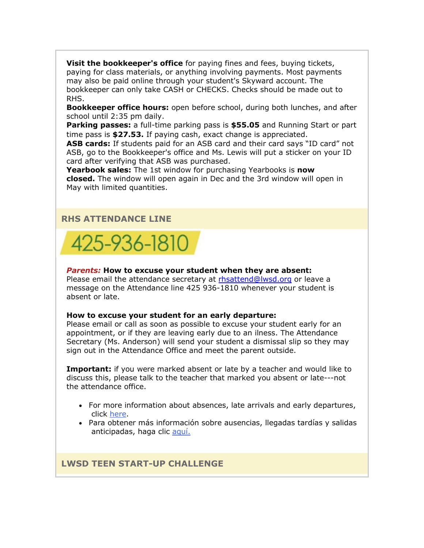**Visit the bookkeeper's office** for paying fines and fees, buying tickets, paying for class materials, or anything involving payments. Most payments may also be paid online through your student's Skyward account. The bookkeeper can only take CASH or CHECKS. Checks should be made out to RHS.

**Bookkeeper office hours:** open before school, during both lunches, and after school until 2:35 pm daily.

**Parking passes:** a full-time parking pass is **\$55.05** and Running Start or part time pass is **\$27.53.** If paying cash, exact change is appreciated.

**ASB cards:** If students paid for an ASB card and their card says "ID card" not ASB, go to the Bookkeeper's office and Ms. Lewis will put a sticker on your ID card after verifying that ASB was purchased.

**Yearbook sales:** The 1st window for purchasing Yearbooks is **now closed.** The window will open again in Dec and the 3rd window will open in May with limited quantities.

#### **RHS ATTENDANCE LINE**



#### *Parents:* **How to excuse your student when they are absent:**

Please email the attendance secretary at [rhsattend@lwsd.org](mailto:rhsattend@lwsd.org) or leave a message on the Attendance line 425 936-1810 whenever your student is absent or late.

#### **How to excuse your student for an early departure:**

Please email or call as soon as possible to excuse your student early for an appointment, or if they are leaving early due to an ilness. The Attendance Secretary (Ms. Anderson) will send your student a dismissal slip so they may sign out in the Attendance Office and meet the parent outside.

**Important:** if you were marked absent or late by a teacher and would like to discuss this, please talk to the teacher that marked you absent or late---not the attendance office.

- For more information about absences, late arrivals and early departures, click [here.](https://nam02.safelinks.protection.outlook.com/?url=http%3A%2F%2Flink.email.dynect.net%2Flink.php%3FDynEngagement%3Dtrue%26H%3DfaG4YsHB1kOcXrql%252FjAZAv8UiQ%252B6%252FUEFi8b26uvkPKGDNP9eP128sv04e4byGRIA0dWEU5Wk0ib3Da8yryH%252F0O9YfuOAsKworGH5uZCz1VtCHNZe7D7Mmg%253D%253D%26G%3D0%26R%3Dhttps%253A%252F%252FHIYUGYZTANA.hatchbuck.com%252FTrackLinkClick%253FID2%253DfQ0DbbTZJAd-l6iDwa7_aXcFamYN5p4Nys5aGROqqO0fK_Xwx6JhojdZ-PrhQ1Xt0%26I%3D20210924222127.00000005daf4%2540mail6-50-ussnn1%26X%3DMHwxMjY0OTIyOjIyMTgwNDk0Nzk7MXwxMjY0OTIzOjE3NzU0NTQ3NTs%253D%26V%3D3%26S%3D0YULyDRsJK_2TjcXM4OJf7YW1CETCxkt90M2W8Dv69Y&data=04%7C01%7Cmwood%40lwsd.org%7C1d9e60d818014719650c08d97fa9aa9d%7C1fd4673fdf9646218638a1d88c4c85d7%7C0%7C0%7C637681188963560942%7CUnknown%7CTWFpbGZsb3d8eyJWIjoiMC4wLjAwMDAiLCJQIjoiV2luMzIiLCJBTiI6Ik1haWwiLCJXVCI6Mn0%3D%7C1000&sdata=JmhAsaMHkfDNiOSkFkSDQnIUNv78kQbT7A%2FGMn8hL%2FA%3D&reserved=0)
- Para obtener más información sobre ausencias, llegadas tardías y salidas anticipadas, haga clic [aquí.](https://nam02.safelinks.protection.outlook.com/?url=http%3A%2F%2Flink.email.dynect.net%2Flink.php%3FDynEngagement%3Dtrue%26H%3DfaG4YsHB1kOcXrql%252FjAZAv8UiQ%252B6%252FUEFi8b26uvkPKGDNP9eP128sv04e4byGRIA0dWEU5Wk0ib3Da8yryH%252F0O9YfuOAsKworGH5uZCz1VtCHNZe7D7Mmg%253D%253D%26G%3D0%26R%3Dhttps%253A%252F%252FHIYUGYZTANA.hatchbuck.com%252FTrackLinkClick%253FID2%253Dsp4H9uPJJJmDaXDHmbGrexdO0PTR6jnTHxfhnyXLp_aIbwVwf7SmIRDf9DmlIMCO0%26I%3D20210924222127.00000005daf4%2540mail6-50-ussnn1%26X%3DMHwxMjY0OTIyOjIyMTgwNDk0Nzk7MXwxMjY0OTIzOjE3NzU0NTQ3NTs%253D%26V%3D3%26S%3DwdOVa4IaUUTusP8iYjoqyqir_FTLTSnGj70n3bFDQC4&data=04%7C01%7Cmwood%40lwsd.org%7C1d9e60d818014719650c08d97fa9aa9d%7C1fd4673fdf9646218638a1d88c4c85d7%7C0%7C0%7C637681188963560942%7CUnknown%7CTWFpbGZsb3d8eyJWIjoiMC4wLjAwMDAiLCJQIjoiV2luMzIiLCJBTiI6Ik1haWwiLCJXVCI6Mn0%3D%7C1000&sdata=L%2B5AgIwE1xS5ulr0WZu8qzRbEZUX05fxRlyKdJ07EZc%3D&reserved=0)

**LWSD TEEN START-UP CHALLENGE**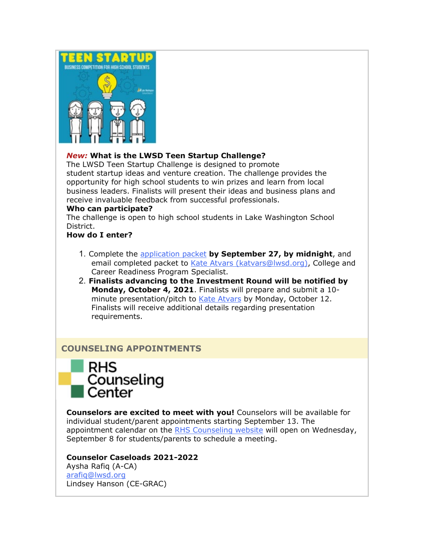

## *New:* **What is the LWSD Teen Startup Challenge?**

The LWSD Teen Startup Challenge is designed to promote student startup ideas and venture creation. The challenge provides the opportunity for high school students to win prizes and learn from local business leaders. Finalists will present their ideas and business plans and receive invaluable feedback from successful professionals.

#### **Who can participate?**

The challenge is open to high school students in Lake Washington School District.

#### **How do I enter?**

- 1. Complete the [application packet](https://nam02.safelinks.protection.outlook.com/?url=http%3A%2F%2Flink.email.dynect.net%2Flink.php%3FDynEngagement%3Dtrue%26H%3DfaG4YsHB1kOcXrql%252FjAZAv8UiQ%252B6%252FUEFi8b26uvkPKGDNP9eP128sv04e4byGRIA0dWEU5Wk0ib3Da8yryH%252F0O9YfuOAsKworGH5uZCz1VtCHNZe7D7Mmg%253D%253D%26G%3D0%26R%3Dhttps%253A%252F%252FHIYUGYZTANA.hatchbuck.com%252FTrackLinkClick%253FID2%253DM0T5f-muCTZh7C57Rr6CdK8grogxXGrb6iKlZ4KyRYSk2Qu5qS8CYpgWZlCjFW-l0%26I%3D20210924222127.00000005daf4%2540mail6-50-ussnn1%26X%3DMHwxMjY0OTIyOjIyMTgwNDk0Nzk7MXwxMjY0OTIzOjE3NzU0NTQ3NTs%253D%26V%3D3%26S%3DOPr0DTfSrOMsDq4H1Dt1FzrgUIN_s4pcy1AWC7ohHDw&data=04%7C01%7Cmwood%40lwsd.org%7C1d9e60d818014719650c08d97fa9aa9d%7C1fd4673fdf9646218638a1d88c4c85d7%7C0%7C0%7C637681188963570936%7CUnknown%7CTWFpbGZsb3d8eyJWIjoiMC4wLjAwMDAiLCJQIjoiV2luMzIiLCJBTiI6Ik1haWwiLCJXVCI6Mn0%3D%7C1000&sdata=Tb%2Fa4OdEiL4GNetmKLsHCh1%2Fuw5oQBziG%2FI%2FCdQMrnM%3D&reserved=0) **by September 27, by midnight**, and email completed packet to [Kate Atvars \(katvars@lwsd.org\),](mailto:katvars@lwsd.org) College and Career Readiness Program Specialist.
- 2. **Finalists advancing to the Investment Round will be notified by Monday, October 4, 2021**. Finalists will prepare and submit a 10- minute presentation/pitch to [Kate Atvars](mailto:katvars@lwsd.org) by Monday, October 12. Finalists will receive additional details regarding presentation requirements.

## **COUNSELING APPOINTMENTS**



**Counselors are excited to meet with you!** Counselors will be available for individual student/parent appointments starting September 13. The appointment calendar on the [RHS Counseling website](https://nam02.safelinks.protection.outlook.com/?url=http%3A%2F%2Flink.email.dynect.net%2Flink.php%3FDynEngagement%3Dtrue%26H%3DfaG4YsHB1kOcXrql%252FjAZAv8UiQ%252B6%252FUEFi8b26uvkPKGDNP9eP128sv04e4byGRIA0dWEU5Wk0ib3Da8yryH%252F0O9YfuOAsKworGH5uZCz1VtCHNZe7D7Mmg%253D%253D%26G%3D0%26R%3Dhttps%253A%252F%252FHIYUGYZTANA.hatchbuck.com%252FTrackLinkClick%253FID2%253Dl05GIcwafx8yCAqbG87GRHn2Of1XGrjiAE6-AwanK1c4YWs0e8RUPNg6ZJV-fNwI0%26I%3D20210924222127.00000005daf4%2540mail6-50-ussnn1%26X%3DMHwxMjY0OTIyOjIyMTgwNDk0Nzk7MXwxMjY0OTIzOjE3NzU0NTQ3NTs%253D%26V%3D3%26S%3DZQViO3wDZGOwQCyFsAjA28qicJRK07beYQ-VySxRNYw&data=04%7C01%7Cmwood%40lwsd.org%7C1d9e60d818014719650c08d97fa9aa9d%7C1fd4673fdf9646218638a1d88c4c85d7%7C0%7C0%7C637681188963570936%7CUnknown%7CTWFpbGZsb3d8eyJWIjoiMC4wLjAwMDAiLCJQIjoiV2luMzIiLCJBTiI6Ik1haWwiLCJXVCI6Mn0%3D%7C1000&sdata=onOEjfdiQActhZoWvo8Au2a74zxj%2BNkYp%2Fo4vmvimXU%3D&reserved=0) will open on Wednesday, September 8 for students/parents to schedule a meeting.

## **Counselor Caseloads 2021-2022**

Aysha Rafiq (A-CA) [arafiq@lwsd.org](mailto:arafiq@lwsd.org) Lindsey Hanson (CE-GRAC)